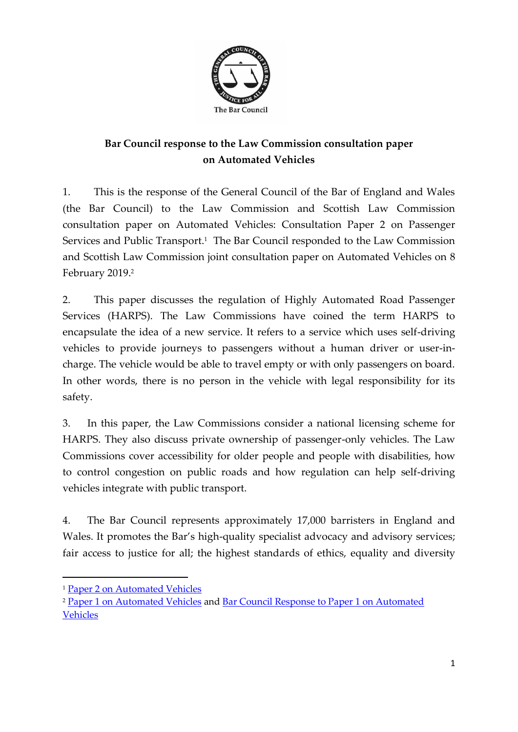

# **Bar Council response to the Law Commission consultation paper on Automated Vehicles**

1. This is the response of the General Council of the Bar of England and Wales (the Bar Council) to the Law Commission and Scottish Law Commission consultation paper on Automated Vehicles: Consultation Paper 2 on Passenger Services and Public Transport.<sup>1</sup> The Bar Council responded to the Law Commission and Scottish Law Commission joint consultation paper on Automated Vehicles on 8 February 2019. 2

2. This paper discusses the regulation of Highly Automated Road Passenger Services (HARPS). The Law Commissions have coined the term HARPS to encapsulate the idea of a new service. It refers to a service which uses self-driving vehicles to provide journeys to passengers without a human driver or user-incharge. The vehicle would be able to travel empty or with only passengers on board. In other words, there is no person in the vehicle with legal responsibility for its safety.

3. In this paper, the Law Commissions consider a national licensing scheme for HARPS. They also discuss private ownership of passenger-only vehicles. The Law Commissions cover accessibility for older people and people with disabilities, how to control congestion on public roads and how regulation can help self-driving vehicles integrate with public transport.

4. The Bar Council represents approximately 17,000 barristers in England and Wales. It promotes the Bar's high-quality specialist advocacy and advisory services; fair access to justice for all; the highest standards of ethics, equality and diversity

<sup>1</sup> [Paper 2 on Automated Vehicles](https://s3-eu-west-2.amazonaws.com/lawcom-prod-storage-11jsxou24uy7q/uploads/2019/10/Automated-Vehicles-Consultation-Paper-final.pdf)

<sup>2</sup> [Paper 1 on Automated Vehicles](https://www.lawcom.gov.uk/project/automated-vehicles/) and [Bar Council Response to Paper 1 on Automated](https://s3-eu-west-2.amazonaws.com/lawcom-prod-storage-11jsxou24uy7q/uploads/2019/06/AV016-Bar-Council-of-England-and-Wales.pdf) [Vehicles](https://s3-eu-west-2.amazonaws.com/lawcom-prod-storage-11jsxou24uy7q/uploads/2019/06/AV016-Bar-Council-of-England-and-Wales.pdf)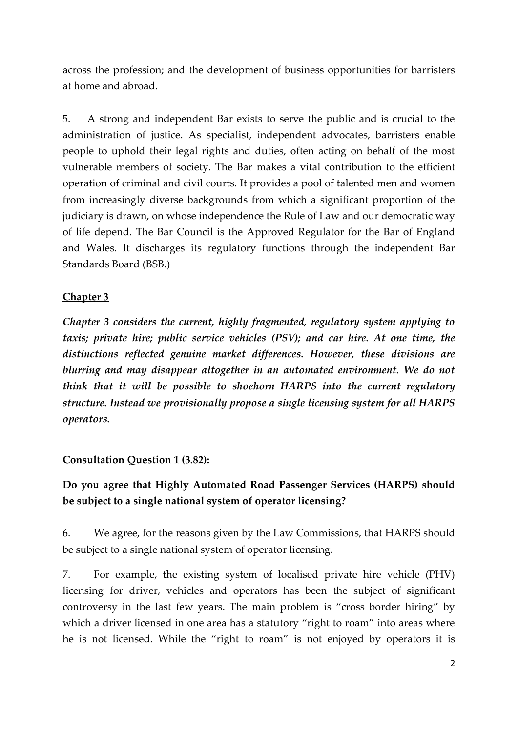across the profession; and the development of business opportunities for barristers at home and abroad.

5. A strong and independent Bar exists to serve the public and is crucial to the administration of justice. As specialist, independent advocates, barristers enable people to uphold their legal rights and duties, often acting on behalf of the most vulnerable members of society. The Bar makes a vital contribution to the efficient operation of criminal and civil courts. It provides a pool of talented men and women from increasingly diverse backgrounds from which a significant proportion of the judiciary is drawn, on whose independence the Rule of Law and our democratic way of life depend. The Bar Council is the Approved Regulator for the Bar of England and Wales. It discharges its regulatory functions through the independent Bar Standards Board (BSB.)

### **Chapter 3**

*Chapter 3 considers the current, highly fragmented, regulatory system applying to taxis; private hire; public service vehicles (PSV); and car hire. At one time, the distinctions reflected genuine market differences. However, these divisions are blurring and may disappear altogether in an automated environment. We do not think that it will be possible to shoehorn HARPS into the current regulatory structure. Instead we provisionally propose a single licensing system for all HARPS operators.*

**Consultation Question 1 (3.82):**

# **Do you agree that Highly Automated Road Passenger Services (HARPS) should be subject to a single national system of operator licensing?**

6. We agree, for the reasons given by the Law Commissions, that HARPS should be subject to a single national system of operator licensing.

7. For example, the existing system of localised private hire vehicle (PHV) licensing for driver, vehicles and operators has been the subject of significant controversy in the last few years. The main problem is "cross border hiring" by which a driver licensed in one area has a statutory "right to roam" into areas where he is not licensed. While the "right to roam" is not enjoyed by operators it is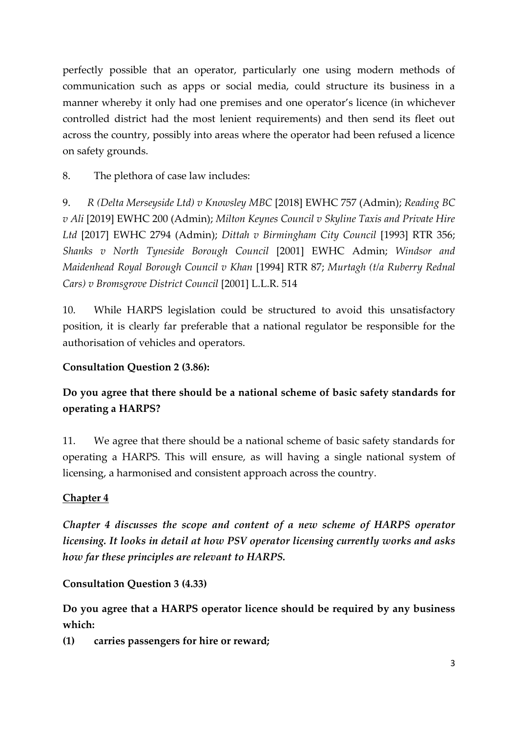perfectly possible that an operator, particularly one using modern methods of communication such as apps or social media, could structure its business in a manner whereby it only had one premises and one operator's licence (in whichever controlled district had the most lenient requirements) and then send its fleet out across the country, possibly into areas where the operator had been refused a licence on safety grounds.

8. The plethora of case law includes:

9. *R (Delta Merseyside Ltd) v Knowsley MBC* [2018] EWHC 757 (Admin); *Reading BC v Ali* [2019] EWHC 200 (Admin); *Milton Keynes Council v Skyline Taxis and Private Hire Ltd* [2017] EWHC 2794 (Admin); *Dittah v Birmingham City Council* [1993] RTR 356; *Shanks v North Tyneside Borough Council* [2001] EWHC Admin; *Windsor and Maidenhead Royal Borough Council v Khan* [1994] RTR 87; *Murtagh (t/a Ruberry Rednal Cars) v Bromsgrove District Council* [2001] L.L.R. 514

10. While HARPS legislation could be structured to avoid this unsatisfactory position, it is clearly far preferable that a national regulator be responsible for the authorisation of vehicles and operators.

### **Consultation Question 2 (3.86):**

# **Do you agree that there should be a national scheme of basic safety standards for operating a HARPS?**

11. We agree that there should be a national scheme of basic safety standards for operating a HARPS. This will ensure, as will having a single national system of licensing, a harmonised and consistent approach across the country.

## **Chapter 4**

*Chapter 4 discusses the scope and content of a new scheme of HARPS operator licensing. It looks in detail at how PSV operator licensing currently works and asks how far these principles are relevant to HARPS.* 

### **Consultation Question 3 (4.33)**

**Do you agree that a HARPS operator licence should be required by any business which:**

**(1) carries passengers for hire or reward;**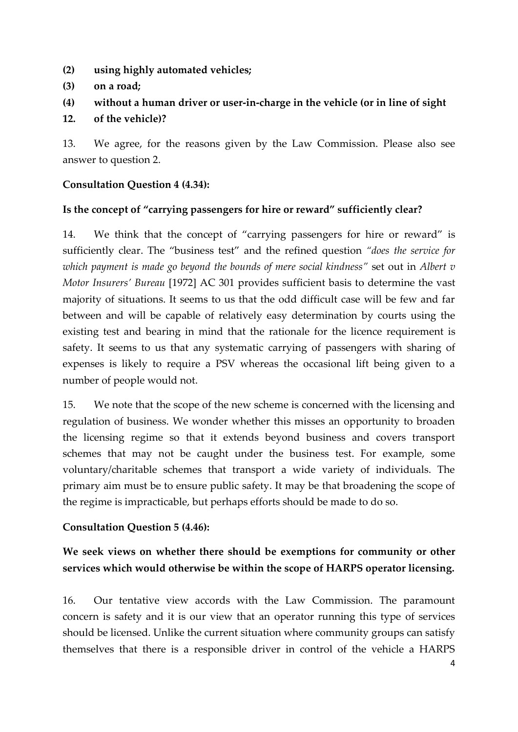- **(2) using highly automated vehicles;**
- **(3) on a road;**
- **(4) without a human driver or user-in-charge in the vehicle (or in line of sight**

#### **12. of the vehicle)?**

13. We agree, for the reasons given by the Law Commission. Please also see answer to question 2.

#### **Consultation Question 4 (4.34):**

### **Is the concept of "carrying passengers for hire or reward" sufficiently clear?**

14. We think that the concept of "carrying passengers for hire or reward" is sufficiently clear. The "business test" and the refined question *"does the service for which payment is made go beyond the bounds of mere social kindness"* set out in *Albert v Motor Insurers' Bureau* [1972] AC 301 provides sufficient basis to determine the vast majority of situations. It seems to us that the odd difficult case will be few and far between and will be capable of relatively easy determination by courts using the existing test and bearing in mind that the rationale for the licence requirement is safety. It seems to us that any systematic carrying of passengers with sharing of expenses is likely to require a PSV whereas the occasional lift being given to a number of people would not.

15. We note that the scope of the new scheme is concerned with the licensing and regulation of business. We wonder whether this misses an opportunity to broaden the licensing regime so that it extends beyond business and covers transport schemes that may not be caught under the business test. For example, some voluntary/charitable schemes that transport a wide variety of individuals. The primary aim must be to ensure public safety. It may be that broadening the scope of the regime is impracticable, but perhaps efforts should be made to do so.

### **Consultation Question 5 (4.46):**

# **We seek views on whether there should be exemptions for community or other services which would otherwise be within the scope of HARPS operator licensing.**

16. Our tentative view accords with the Law Commission. The paramount concern is safety and it is our view that an operator running this type of services should be licensed. Unlike the current situation where community groups can satisfy themselves that there is a responsible driver in control of the vehicle a HARPS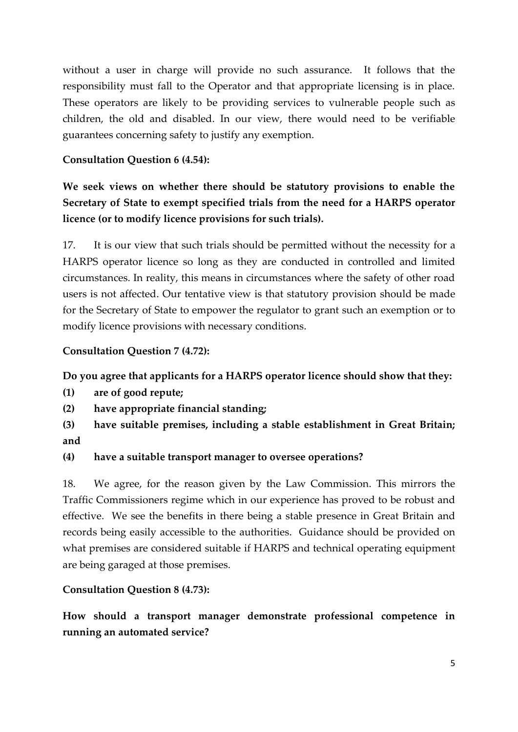without a user in charge will provide no such assurance. It follows that the responsibility must fall to the Operator and that appropriate licensing is in place. These operators are likely to be providing services to vulnerable people such as children, the old and disabled. In our view, there would need to be verifiable guarantees concerning safety to justify any exemption.

### **Consultation Question 6 (4.54):**

**We seek views on whether there should be statutory provisions to enable the Secretary of State to exempt specified trials from the need for a HARPS operator licence (or to modify licence provisions for such trials).**

17. It is our view that such trials should be permitted without the necessity for a HARPS operator licence so long as they are conducted in controlled and limited circumstances. In reality, this means in circumstances where the safety of other road users is not affected. Our tentative view is that statutory provision should be made for the Secretary of State to empower the regulator to grant such an exemption or to modify licence provisions with necessary conditions.

## **Consultation Question 7 (4.72):**

### **Do you agree that applicants for a HARPS operator licence should show that they:**

- **(1) are of good repute;**
- **(2) have appropriate financial standing;**
- **(3) have suitable premises, including a stable establishment in Great Britain; and**

### **(4) have a suitable transport manager to oversee operations?**

18. We agree, for the reason given by the Law Commission. This mirrors the Traffic Commissioners regime which in our experience has proved to be robust and effective. We see the benefits in there being a stable presence in Great Britain and records being easily accessible to the authorities. Guidance should be provided on what premises are considered suitable if HARPS and technical operating equipment are being garaged at those premises.

### **Consultation Question 8 (4.73):**

**How should a transport manager demonstrate professional competence in running an automated service?**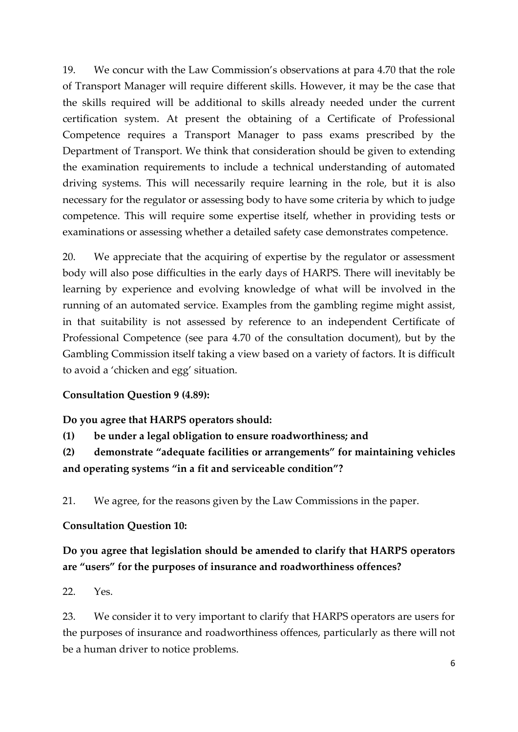19. We concur with the Law Commission's observations at para 4.70 that the role of Transport Manager will require different skills. However, it may be the case that the skills required will be additional to skills already needed under the current certification system. At present the obtaining of a Certificate of Professional Competence requires a Transport Manager to pass exams prescribed by the Department of Transport. We think that consideration should be given to extending the examination requirements to include a technical understanding of automated driving systems. This will necessarily require learning in the role, but it is also necessary for the regulator or assessing body to have some criteria by which to judge competence. This will require some expertise itself, whether in providing tests or examinations or assessing whether a detailed safety case demonstrates competence.

20. We appreciate that the acquiring of expertise by the regulator or assessment body will also pose difficulties in the early days of HARPS. There will inevitably be learning by experience and evolving knowledge of what will be involved in the running of an automated service. Examples from the gambling regime might assist, in that suitability is not assessed by reference to an independent Certificate of Professional Competence (see para 4.70 of the consultation document), but by the Gambling Commission itself taking a view based on a variety of factors. It is difficult to avoid a 'chicken and egg' situation.

### **Consultation Question 9 (4.89):**

#### **Do you agree that HARPS operators should:**

**(1) be under a legal obligation to ensure roadworthiness; and**

**(2) demonstrate "adequate facilities or arrangements" for maintaining vehicles and operating systems "in a fit and serviceable condition"?**

21. We agree, for the reasons given by the Law Commissions in the paper.

#### **Consultation Question 10:**

# **Do you agree that legislation should be amended to clarify that HARPS operators are "users" for the purposes of insurance and roadworthiness offences?**

22. Yes.

23. We consider it to very important to clarify that HARPS operators are users for the purposes of insurance and roadworthiness offences, particularly as there will not be a human driver to notice problems.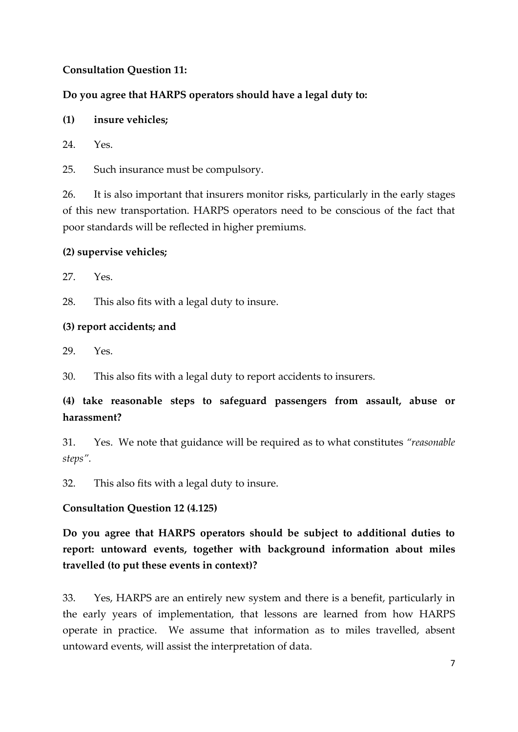### **Consultation Question 11:**

## **Do you agree that HARPS operators should have a legal duty to:**

**(1) insure vehicles;**

 $24$  Yes

25. Such insurance must be compulsory.

26. It is also important that insurers monitor risks, particularly in the early stages of this new transportation. HARPS operators need to be conscious of the fact that poor standards will be reflected in higher premiums.

## **(2) supervise vehicles;**

27. Yes.

28. This also fits with a legal duty to insure.

## **(3) report accidents; and**

29. Yes.

30. This also fits with a legal duty to report accidents to insurers.

# **(4) take reasonable steps to safeguard passengers from assault, abuse or harassment?**

31. Yes. We note that guidance will be required as to what constitutes *"reasonable steps".* 

32. This also fits with a legal duty to insure.

## **Consultation Question 12 (4.125)**

**Do you agree that HARPS operators should be subject to additional duties to report: untoward events, together with background information about miles travelled (to put these events in context)?**

33. Yes, HARPS are an entirely new system and there is a benefit, particularly in the early years of implementation, that lessons are learned from how HARPS operate in practice. We assume that information as to miles travelled, absent untoward events, will assist the interpretation of data.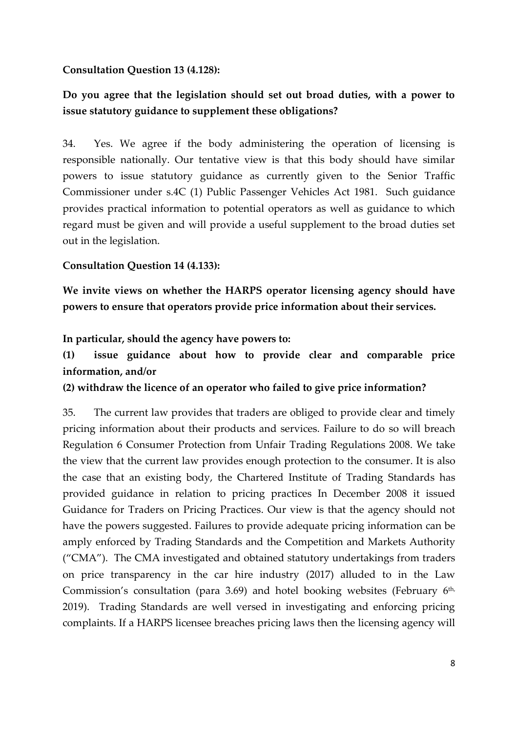#### **Consultation Question 13 (4.128):**

# **Do you agree that the legislation should set out broad duties, with a power to issue statutory guidance to supplement these obligations?**

34. Yes. We agree if the body administering the operation of licensing is responsible nationally. Our tentative view is that this body should have similar powers to issue statutory guidance as currently given to the Senior Traffic Commissioner under s.4C (1) Public Passenger Vehicles Act 1981. Such guidance provides practical information to potential operators as well as guidance to which regard must be given and will provide a useful supplement to the broad duties set out in the legislation.

#### **Consultation Question 14 (4.133):**

**We invite views on whether the HARPS operator licensing agency should have powers to ensure that operators provide price information about their services.**

#### **In particular, should the agency have powers to:**

# **(1) issue guidance about how to provide clear and comparable price information, and/or**

**(2) withdraw the licence of an operator who failed to give price information?**

35. The current law provides that traders are obliged to provide clear and timely pricing information about their products and services. Failure to do so will breach Regulation 6 Consumer Protection from Unfair Trading Regulations 2008. We take the view that the current law provides enough protection to the consumer. It is also the case that an existing body, the Chartered Institute of Trading Standards has provided guidance in relation to pricing practices In December 2008 it issued Guidance for Traders on Pricing Practices. Our view is that the agency should not have the powers suggested. Failures to provide adequate pricing information can be amply enforced by Trading Standards and the Competition and Markets Authority ("CMA"). The CMA investigated and obtained statutory undertakings from traders on price transparency in the car hire industry (2017) alluded to in the Law Commission's consultation (para 3.69) and hotel booking websites (February 6<sup>th,</sup> 2019). Trading Standards are well versed in investigating and enforcing pricing complaints. If a HARPS licensee breaches pricing laws then the licensing agency will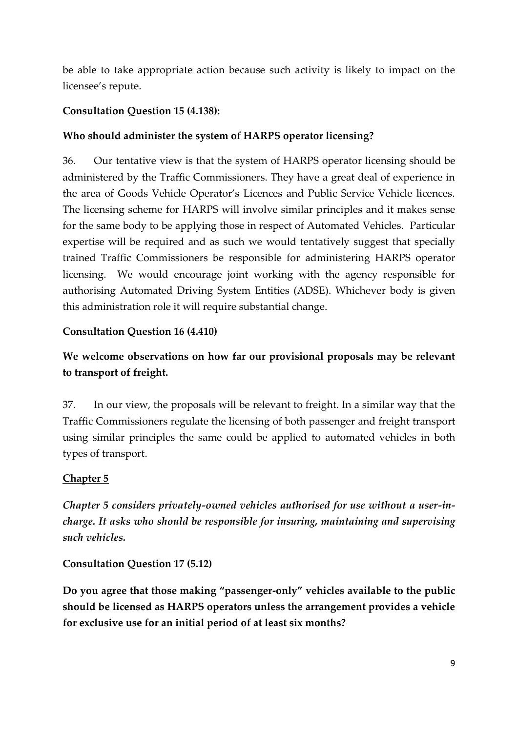be able to take appropriate action because such activity is likely to impact on the licensee's repute.

## **Consultation Question 15 (4.138):**

## **Who should administer the system of HARPS operator licensing?**

36. Our tentative view is that the system of HARPS operator licensing should be administered by the Traffic Commissioners. They have a great deal of experience in the area of Goods Vehicle Operator's Licences and Public Service Vehicle licences. The licensing scheme for HARPS will involve similar principles and it makes sense for the same body to be applying those in respect of Automated Vehicles. Particular expertise will be required and as such we would tentatively suggest that specially trained Traffic Commissioners be responsible for administering HARPS operator licensing. We would encourage joint working with the agency responsible for authorising Automated Driving System Entities (ADSE). Whichever body is given this administration role it will require substantial change.

## **Consultation Question 16 (4.410)**

# **We welcome observations on how far our provisional proposals may be relevant to transport of freight.**

37. In our view, the proposals will be relevant to freight. In a similar way that the Traffic Commissioners regulate the licensing of both passenger and freight transport using similar principles the same could be applied to automated vehicles in both types of transport.

## **Chapter 5**

*Chapter 5 considers privately-owned vehicles authorised for use without a user-incharge. It asks who should be responsible for insuring, maintaining and supervising such vehicles.* 

### **Consultation Question 17 (5.12)**

**Do you agree that those making "passenger-only" vehicles available to the public should be licensed as HARPS operators unless the arrangement provides a vehicle for exclusive use for an initial period of at least six months?**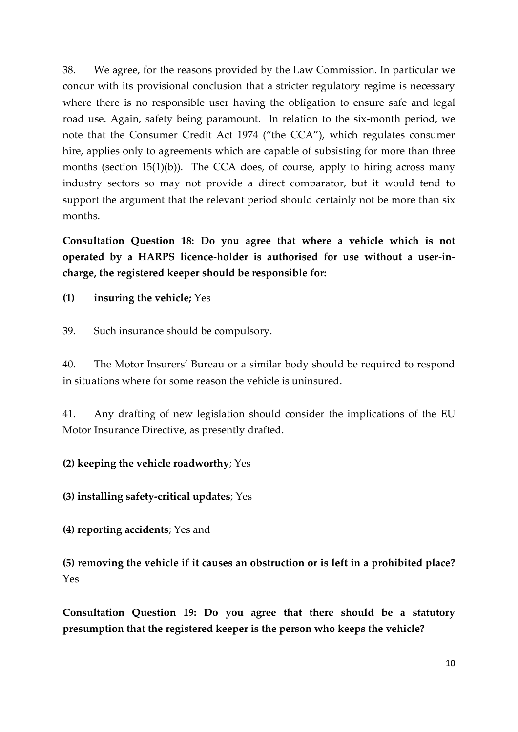38. We agree, for the reasons provided by the Law Commission. In particular we concur with its provisional conclusion that a stricter regulatory regime is necessary where there is no responsible user having the obligation to ensure safe and legal road use. Again, safety being paramount. In relation to the six-month period, we note that the Consumer Credit Act 1974 ("the CCA"), which regulates consumer hire, applies only to agreements which are capable of subsisting for more than three months (section  $15(1)(b)$ ). The CCA does, of course, apply to hiring across many industry sectors so may not provide a direct comparator, but it would tend to support the argument that the relevant period should certainly not be more than six months.

**Consultation Question 18: Do you agree that where a vehicle which is not operated by a HARPS licence-holder is authorised for use without a user-incharge, the registered keeper should be responsible for:**

**(1) insuring the vehicle;** Yes

39. Such insurance should be compulsory.

40. The Motor Insurers' Bureau or a similar body should be required to respond in situations where for some reason the vehicle is uninsured.

41. Any drafting of new legislation should consider the implications of the EU Motor Insurance Directive, as presently drafted.

#### **(2) keeping the vehicle roadworthy**; Yes

**(3) installing safety-critical updates**; Yes

**(4) reporting accidents**; Yes and

**(5) removing the vehicle if it causes an obstruction or is left in a prohibited place?** Yes

**Consultation Question 19: Do you agree that there should be a statutory presumption that the registered keeper is the person who keeps the vehicle?**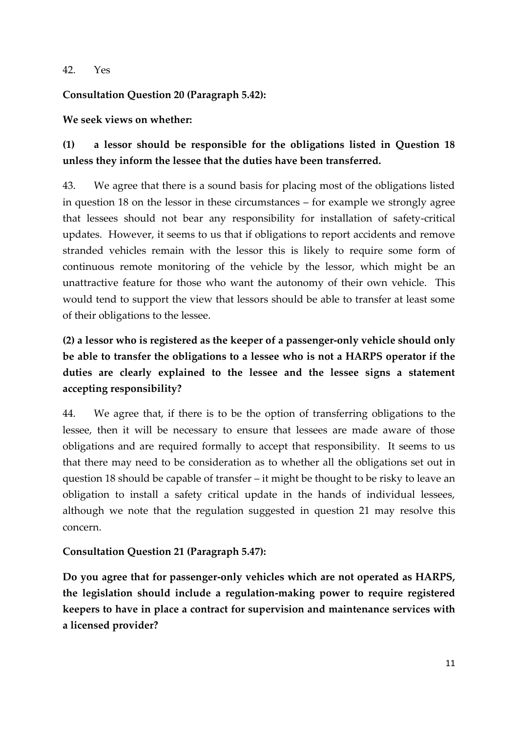#### 42. Yes

#### **Consultation Question 20 (Paragraph 5.42):**

#### **We seek views on whether:**

# **(1) a lessor should be responsible for the obligations listed in Question 18 unless they inform the lessee that the duties have been transferred.**

43. We agree that there is a sound basis for placing most of the obligations listed in question 18 on the lessor in these circumstances – for example we strongly agree that lessees should not bear any responsibility for installation of safety-critical updates. However, it seems to us that if obligations to report accidents and remove stranded vehicles remain with the lessor this is likely to require some form of continuous remote monitoring of the vehicle by the lessor, which might be an unattractive feature for those who want the autonomy of their own vehicle. This would tend to support the view that lessors should be able to transfer at least some of their obligations to the lessee.

# **(2) a lessor who is registered as the keeper of a passenger-only vehicle should only be able to transfer the obligations to a lessee who is not a HARPS operator if the duties are clearly explained to the lessee and the lessee signs a statement accepting responsibility?**

44. We agree that, if there is to be the option of transferring obligations to the lessee, then it will be necessary to ensure that lessees are made aware of those obligations and are required formally to accept that responsibility. It seems to us that there may need to be consideration as to whether all the obligations set out in question 18 should be capable of transfer – it might be thought to be risky to leave an obligation to install a safety critical update in the hands of individual lessees, although we note that the regulation suggested in question 21 may resolve this concern.

### **Consultation Question 21 (Paragraph 5.47):**

**Do you agree that for passenger-only vehicles which are not operated as HARPS, the legislation should include a regulation-making power to require registered keepers to have in place a contract for supervision and maintenance services with a licensed provider?**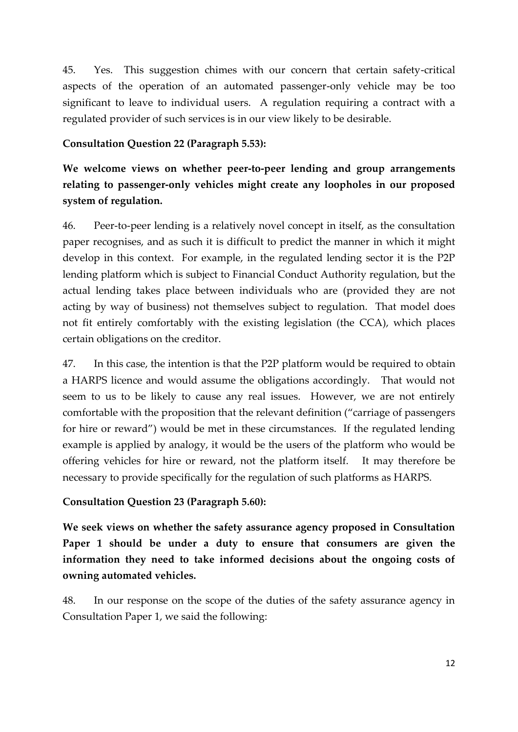45. Yes. This suggestion chimes with our concern that certain safety-critical aspects of the operation of an automated passenger-only vehicle may be too significant to leave to individual users. A regulation requiring a contract with a regulated provider of such services is in our view likely to be desirable.

#### **Consultation Question 22 (Paragraph 5.53):**

**We welcome views on whether peer-to-peer lending and group arrangements relating to passenger-only vehicles might create any loopholes in our proposed system of regulation.**

46. Peer-to-peer lending is a relatively novel concept in itself, as the consultation paper recognises, and as such it is difficult to predict the manner in which it might develop in this context. For example, in the regulated lending sector it is the P2P lending platform which is subject to Financial Conduct Authority regulation, but the actual lending takes place between individuals who are (provided they are not acting by way of business) not themselves subject to regulation. That model does not fit entirely comfortably with the existing legislation (the CCA), which places certain obligations on the creditor.

47. In this case, the intention is that the P2P platform would be required to obtain a HARPS licence and would assume the obligations accordingly. That would not seem to us to be likely to cause any real issues. However, we are not entirely comfortable with the proposition that the relevant definition ("carriage of passengers for hire or reward") would be met in these circumstances. If the regulated lending example is applied by analogy, it would be the users of the platform who would be offering vehicles for hire or reward, not the platform itself. It may therefore be necessary to provide specifically for the regulation of such platforms as HARPS.

### **Consultation Question 23 (Paragraph 5.60):**

**We seek views on whether the safety assurance agency proposed in Consultation Paper 1 should be under a duty to ensure that consumers are given the information they need to take informed decisions about the ongoing costs of owning automated vehicles.**

48. In our response on the scope of the duties of the safety assurance agency in Consultation Paper 1, we said the following: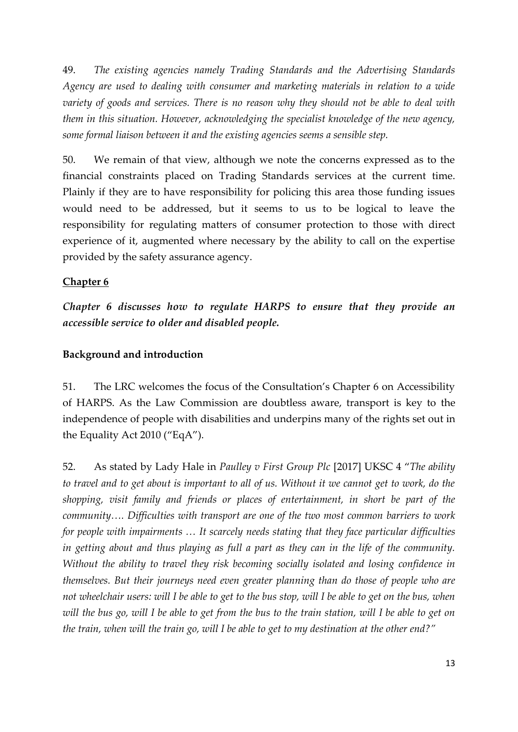49. *The existing agencies namely Trading Standards and the Advertising Standards Agency are used to dealing with consumer and marketing materials in relation to a wide variety of goods and services. There is no reason why they should not be able to deal with them in this situation. However, acknowledging the specialist knowledge of the new agency, some formal liaison between it and the existing agencies seems a sensible step.* 

50. We remain of that view, although we note the concerns expressed as to the financial constraints placed on Trading Standards services at the current time. Plainly if they are to have responsibility for policing this area those funding issues would need to be addressed, but it seems to us to be logical to leave the responsibility for regulating matters of consumer protection to those with direct experience of it, augmented where necessary by the ability to call on the expertise provided by the safety assurance agency.

#### **Chapter 6**

*Chapter 6 discusses how to regulate HARPS to ensure that they provide an accessible service to older and disabled people.* 

#### **Background and introduction**

51. The LRC welcomes the focus of the Consultation's Chapter 6 on Accessibility of HARPS. As the Law Commission are doubtless aware, transport is key to the independence of people with disabilities and underpins many of the rights set out in the Equality Act 2010 ("EqA").

52. As stated by Lady Hale in *Paulley v First Group Plc* [2017] UKSC 4 "*The ability to travel and to get about is important to all of us. Without it we cannot get to work, do the shopping, visit family and friends or places of entertainment, in short be part of the community…. Difficulties with transport are one of the two most common barriers to work for people with impairments ... It scarcely needs stating that they face particular difficulties in getting about and thus playing as full a part as they can in the life of the community. Without the ability to travel they risk becoming socially isolated and losing confidence in themselves. But their journeys need even greater planning than do those of people who are not wheelchair users: will I be able to get to the bus stop, will I be able to get on the bus, when will the bus go, will I be able to get from the bus to the train station, will I be able to get on the train, when will the train go, will I be able to get to my destination at the other end?"*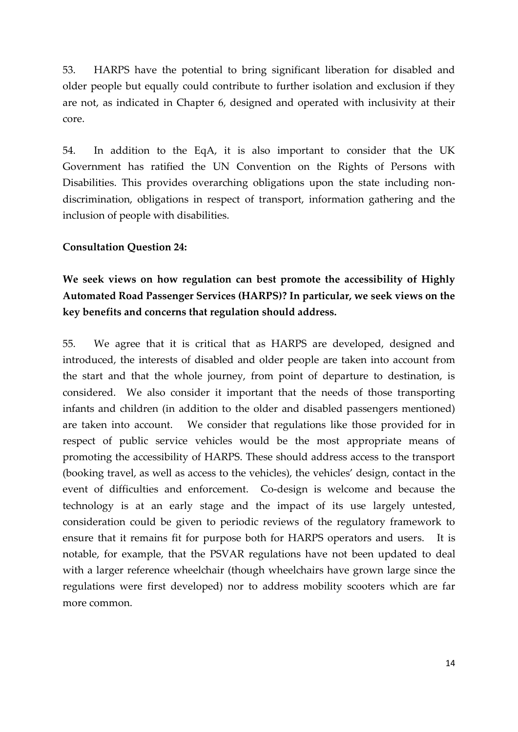53. HARPS have the potential to bring significant liberation for disabled and older people but equally could contribute to further isolation and exclusion if they are not, as indicated in Chapter 6, designed and operated with inclusivity at their core.

54. In addition to the EqA, it is also important to consider that the UK Government has ratified the UN Convention on the Rights of Persons with Disabilities. This provides overarching obligations upon the state including nondiscrimination, obligations in respect of transport, information gathering and the inclusion of people with disabilities.

#### **Consultation Question 24:**

# **We seek views on how regulation can best promote the accessibility of Highly Automated Road Passenger Services (HARPS)? In particular, we seek views on the key benefits and concerns that regulation should address.**

55. We agree that it is critical that as HARPS are developed, designed and introduced, the interests of disabled and older people are taken into account from the start and that the whole journey, from point of departure to destination, is considered. We also consider it important that the needs of those transporting infants and children (in addition to the older and disabled passengers mentioned) are taken into account. We consider that regulations like those provided for in respect of public service vehicles would be the most appropriate means of promoting the accessibility of HARPS. These should address access to the transport (booking travel, as well as access to the vehicles), the vehicles' design, contact in the event of difficulties and enforcement. Co-design is welcome and because the technology is at an early stage and the impact of its use largely untested, consideration could be given to periodic reviews of the regulatory framework to ensure that it remains fit for purpose both for HARPS operators and users. It is notable, for example, that the PSVAR regulations have not been updated to deal with a larger reference wheelchair (though wheelchairs have grown large since the regulations were first developed) nor to address mobility scooters which are far more common.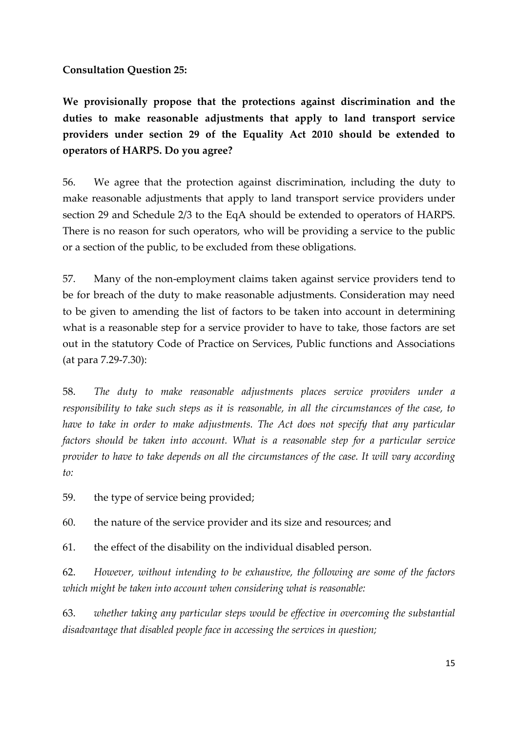**Consultation Question 25:**

**We provisionally propose that the protections against discrimination and the duties to make reasonable adjustments that apply to land transport service providers under section 29 of the Equality Act 2010 should be extended to operators of HARPS. Do you agree?**

56. We agree that the protection against discrimination, including the duty to make reasonable adjustments that apply to land transport service providers under section 29 and Schedule 2/3 to the EqA should be extended to operators of HARPS. There is no reason for such operators, who will be providing a service to the public or a section of the public, to be excluded from these obligations.

57. Many of the non-employment claims taken against service providers tend to be for breach of the duty to make reasonable adjustments. Consideration may need to be given to amending the list of factors to be taken into account in determining what is a reasonable step for a service provider to have to take, those factors are set out in the statutory Code of Practice on Services, Public functions and Associations (at para 7.29-7.30):

58. *The duty to make reasonable adjustments places service providers under a responsibility to take such steps as it is reasonable, in all the circumstances of the case, to have to take in order to make adjustments. The Act does not specify that any particular factors should be taken into account. What is a reasonable step for a particular service provider to have to take depends on all the circumstances of the case. It will vary according to:*

59. the type of service being provided;

60. the nature of the service provider and its size and resources; and

61. the effect of the disability on the individual disabled person.

62. *However, without intending to be exhaustive, the following are some of the factors which might be taken into account when considering what is reasonable:* 

63. *whether taking any particular steps would be effective in overcoming the substantial disadvantage that disabled people face in accessing the services in question;*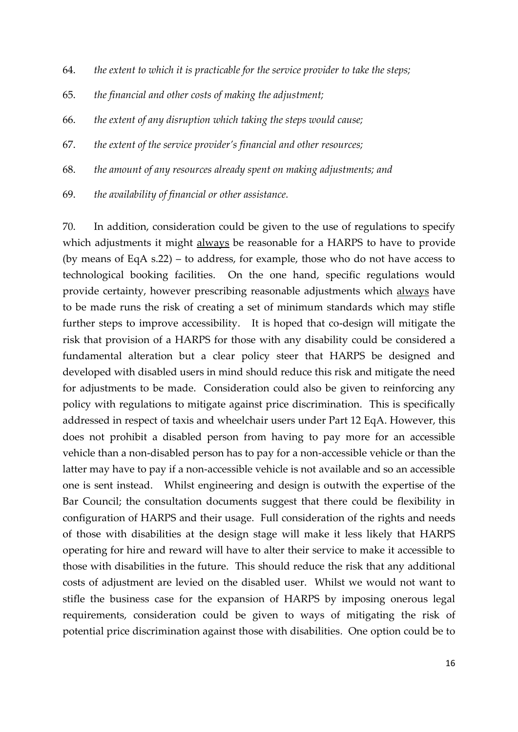- 64. *the extent to which it is practicable for the service provider to take the steps;*
- 65. *the financial and other costs of making the adjustment;*
- 66. *the extent of any disruption which taking the steps would cause;*
- 67. *the extent of the service provider's financial and other resources;*
- 68. *the amount of any resources already spent on making adjustments; and*
- 69. *the availability of financial or other assistance.*

70. In addition, consideration could be given to the use of regulations to specify which adjustments it might always be reasonable for a HARPS to have to provide (by means of EqA s.22) – to address, for example, those who do not have access to technological booking facilities. On the one hand, specific regulations would provide certainty, however prescribing reasonable adjustments which always have to be made runs the risk of creating a set of minimum standards which may stifle further steps to improve accessibility. It is hoped that co-design will mitigate the risk that provision of a HARPS for those with any disability could be considered a fundamental alteration but a clear policy steer that HARPS be designed and developed with disabled users in mind should reduce this risk and mitigate the need for adjustments to be made. Consideration could also be given to reinforcing any policy with regulations to mitigate against price discrimination. This is specifically addressed in respect of taxis and wheelchair users under Part 12 EqA. However, this does not prohibit a disabled person from having to pay more for an accessible vehicle than a non-disabled person has to pay for a non-accessible vehicle or than the latter may have to pay if a non-accessible vehicle is not available and so an accessible one is sent instead. Whilst engineering and design is outwith the expertise of the Bar Council; the consultation documents suggest that there could be flexibility in configuration of HARPS and their usage. Full consideration of the rights and needs of those with disabilities at the design stage will make it less likely that HARPS operating for hire and reward will have to alter their service to make it accessible to those with disabilities in the future. This should reduce the risk that any additional costs of adjustment are levied on the disabled user. Whilst we would not want to stifle the business case for the expansion of HARPS by imposing onerous legal requirements, consideration could be given to ways of mitigating the risk of potential price discrimination against those with disabilities. One option could be to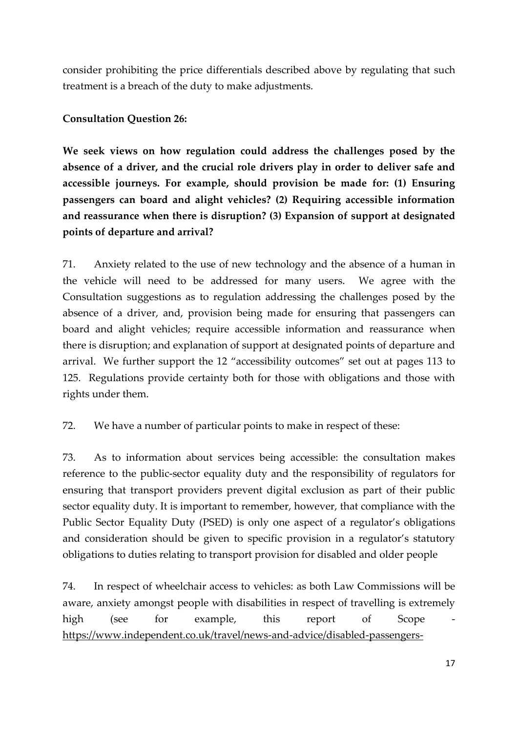consider prohibiting the price differentials described above by regulating that such treatment is a breach of the duty to make adjustments.

### **Consultation Question 26:**

**We seek views on how regulation could address the challenges posed by the absence of a driver, and the crucial role drivers play in order to deliver safe and accessible journeys. For example, should provision be made for: (1) Ensuring passengers can board and alight vehicles? (2) Requiring accessible information and reassurance when there is disruption? (3) Expansion of support at designated points of departure and arrival?**

71. Anxiety related to the use of new technology and the absence of a human in the vehicle will need to be addressed for many users. We agree with the Consultation suggestions as to regulation addressing the challenges posed by the absence of a driver, and, provision being made for ensuring that passengers can board and alight vehicles; require accessible information and reassurance when there is disruption; and explanation of support at designated points of departure and arrival. We further support the 12 "accessibility outcomes" set out at pages 113 to 125. Regulations provide certainty both for those with obligations and those with rights under them.

72. We have a number of particular points to make in respect of these:

73. As to information about services being accessible: the consultation makes reference to the public-sector equality duty and the responsibility of regulators for ensuring that transport providers prevent digital exclusion as part of their public sector equality duty. It is important to remember, however, that compliance with the Public Sector Equality Duty (PSED) is only one aspect of a regulator's obligations and consideration should be given to specific provision in a regulator's statutory obligations to duties relating to transport provision for disabled and older people

74. In respect of wheelchair access to vehicles: as both Law Commissions will be aware, anxiety amongst people with disabilities in respect of travelling is extremely high (see for example, this report of Scope [https://www.independent.co.uk/travel/news-and-advice/disabled-passengers-](https://www.independent.co.uk/travel/news-and-advice/disabled-passengers-public-transport-study-scope-a9088821.html)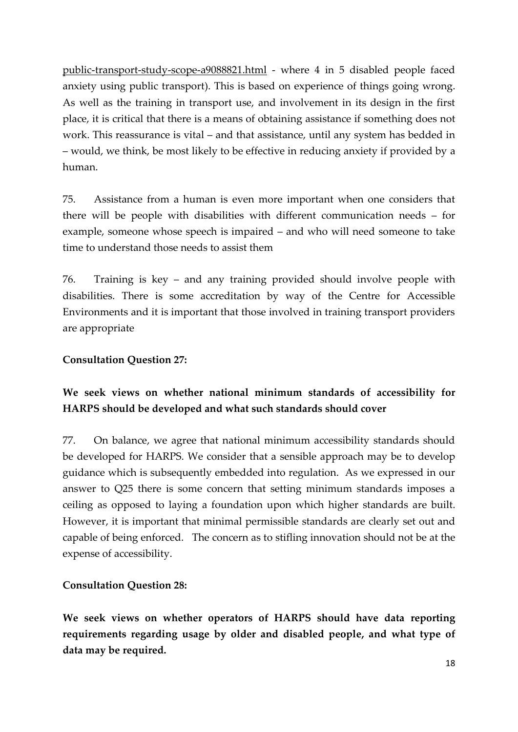[public-transport-study-scope-a9088821.html](https://www.independent.co.uk/travel/news-and-advice/disabled-passengers-public-transport-study-scope-a9088821.html) - where 4 in 5 disabled people faced anxiety using public transport). This is based on experience of things going wrong. As well as the training in transport use, and involvement in its design in the first place, it is critical that there is a means of obtaining assistance if something does not work. This reassurance is vital – and that assistance, until any system has bedded in – would, we think, be most likely to be effective in reducing anxiety if provided by a human.

75. Assistance from a human is even more important when one considers that there will be people with disabilities with different communication needs – for example, someone whose speech is impaired – and who will need someone to take time to understand those needs to assist them

76. Training is key – and any training provided should involve people with disabilities. There is some accreditation by way of the Centre for Accessible Environments and it is important that those involved in training transport providers are appropriate

### **Consultation Question 27:**

# **We seek views on whether national minimum standards of accessibility for HARPS should be developed and what such standards should cover**

77. On balance, we agree that national minimum accessibility standards should be developed for HARPS. We consider that a sensible approach may be to develop guidance which is subsequently embedded into regulation. As we expressed in our answer to Q25 there is some concern that setting minimum standards imposes a ceiling as opposed to laying a foundation upon which higher standards are built. However, it is important that minimal permissible standards are clearly set out and capable of being enforced. The concern as to stifling innovation should not be at the expense of accessibility.

### **Consultation Question 28:**

**We seek views on whether operators of HARPS should have data reporting requirements regarding usage by older and disabled people, and what type of data may be required.**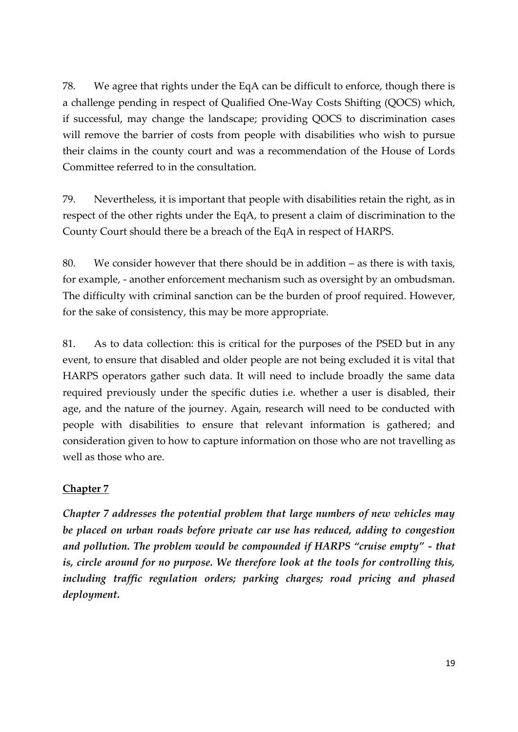78. We agree that rights under the EqA can be difficult to enforce, though there is a challenge pending in respect of Qualified One-Way Costs Shifting (QOCS) which, if successful, may change the landscape; providing QOCS to discrimination cases will remove the barrier of costs from people with disabilities who wish to pursue their claims in the county court and was a recommendation of the House of Lords Committee referred to in the consultation.

79. Nevertheless, it is important that people with disabilities retain the right, as in respect of the other rights under the EqA, to present a claim of discrimination to the County Court should there be a breach of the EqA in respect of HARPS.

80. We consider however that there should be in addition  $-$  as there is with taxis. for example, - another enforcement mechanism such as oversight by an ombudsman. The difficulty with criminal sanction can be the burden of proof required. However, for the sake of consistency, this may be more appropriate.

81. As to data collection: this is critical for the purposes of the PSED but in any event, to ensure that disabled and older people are not being excluded it is vital that HARPS operators gather such data. It will need to include broadly the same data required previously under the specific duties i.e. whether a user is disabled, their age, and the nature of the journey. Again, research will need to be conducted with people with disabilities to ensure that relevant information is gathered; and consideration given to how to capture information on those who are not travelling as well as those who are.

## **Chapter 7**

*Chapter 7 addresses the potential problem that large numbers of new vehicles may be placed on urban roads before private car use has reduced, adding to congestion and pollution. The problem would be compounded if HARPS "cruise empty" - that is, circle around for no purpose. We therefore look at the tools for controlling this, including traffic regulation orders; parking charges; road pricing and phased deployment.*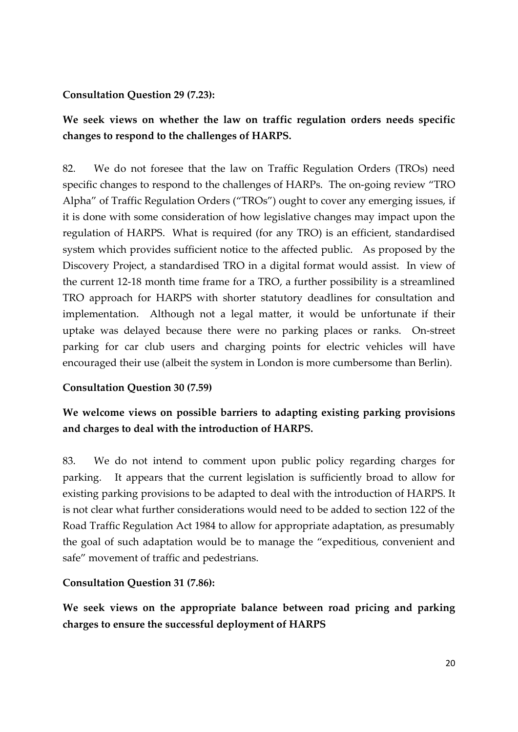#### **Consultation Question 29 (7.23):**

# **We seek views on whether the law on traffic regulation orders needs specific changes to respond to the challenges of HARPS.**

82. We do not foresee that the law on Traffic Regulation Orders (TROs) need specific changes to respond to the challenges of HARPs. The on-going review "TRO Alpha" of Traffic Regulation Orders ("TROs") ought to cover any emerging issues, if it is done with some consideration of how legislative changes may impact upon the regulation of HARPS. What is required (for any TRO) is an efficient, standardised system which provides sufficient notice to the affected public. As proposed by the Discovery Project, a standardised TRO in a digital format would assist. In view of the current 12-18 month time frame for a TRO, a further possibility is a streamlined TRO approach for HARPS with shorter statutory deadlines for consultation and implementation. Although not a legal matter, it would be unfortunate if their uptake was delayed because there were no parking places or ranks. On-street parking for car club users and charging points for electric vehicles will have encouraged their use (albeit the system in London is more cumbersome than Berlin).

### **Consultation Question 30 (7.59)**

# **We welcome views on possible barriers to adapting existing parking provisions and charges to deal with the introduction of HARPS.**

83. We do not intend to comment upon public policy regarding charges for parking. It appears that the current legislation is sufficiently broad to allow for existing parking provisions to be adapted to deal with the introduction of HARPS. It is not clear what further considerations would need to be added to section 122 of the Road Traffic Regulation Act 1984 to allow for appropriate adaptation, as presumably the goal of such adaptation would be to manage the "expeditious, convenient and safe" movement of traffic and pedestrians.

### **Consultation Question 31 (7.86):**

**We seek views on the appropriate balance between road pricing and parking charges to ensure the successful deployment of HARPS**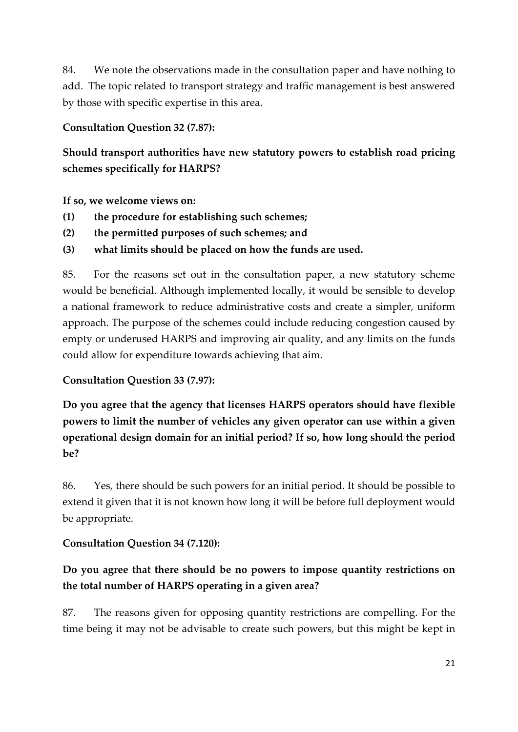84. We note the observations made in the consultation paper and have nothing to add. The topic related to transport strategy and traffic management is best answered by those with specific expertise in this area.

### **Consultation Question 32 (7.87):**

**Should transport authorities have new statutory powers to establish road pricing schemes specifically for HARPS?**

**If so, we welcome views on:**

- **(1) the procedure for establishing such schemes;**
- **(2) the permitted purposes of such schemes; and**
- **(3) what limits should be placed on how the funds are used.**

85. For the reasons set out in the consultation paper, a new statutory scheme would be beneficial. Although implemented locally, it would be sensible to develop a national framework to reduce administrative costs and create a simpler, uniform approach. The purpose of the schemes could include reducing congestion caused by empty or underused HARPS and improving air quality, and any limits on the funds could allow for expenditure towards achieving that aim.

## **Consultation Question 33 (7.97):**

**Do you agree that the agency that licenses HARPS operators should have flexible powers to limit the number of vehicles any given operator can use within a given operational design domain for an initial period? If so, how long should the period be?**

86. Yes, there should be such powers for an initial period. It should be possible to extend it given that it is not known how long it will be before full deployment would be appropriate.

## **Consultation Question 34 (7.120):**

# **Do you agree that there should be no powers to impose quantity restrictions on the total number of HARPS operating in a given area?**

87. The reasons given for opposing quantity restrictions are compelling. For the time being it may not be advisable to create such powers, but this might be kept in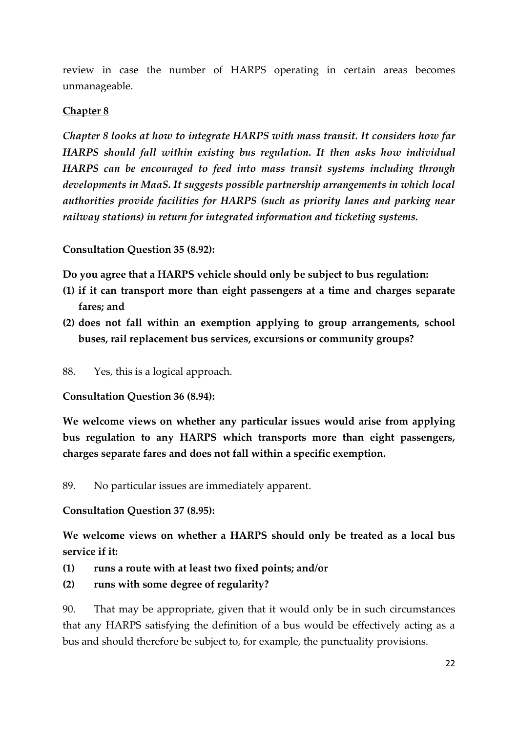review in case the number of HARPS operating in certain areas becomes unmanageable.

#### **Chapter 8**

*Chapter 8 looks at how to integrate HARPS with mass transit. It considers how far HARPS should fall within existing bus regulation. It then asks how individual HARPS can be encouraged to feed into mass transit systems including through developments in MaaS. It suggests possible partnership arrangements in which local authorities provide facilities for HARPS (such as priority lanes and parking near railway stations) in return for integrated information and ticketing systems.* 

**Consultation Question 35 (8.92):**

**Do you agree that a HARPS vehicle should only be subject to bus regulation:**

- **(1) if it can transport more than eight passengers at a time and charges separate fares; and**
- **(2) does not fall within an exemption applying to group arrangements, school buses, rail replacement bus services, excursions or community groups?**
- 88. Yes, this is a logical approach.

**Consultation Question 36 (8.94):**

**We welcome views on whether any particular issues would arise from applying bus regulation to any HARPS which transports more than eight passengers, charges separate fares and does not fall within a specific exemption.**

89. No particular issues are immediately apparent.

#### **Consultation Question 37 (8.95):**

**We welcome views on whether a HARPS should only be treated as a local bus service if it:**

- **(1) runs a route with at least two fixed points; and/or**
- **(2) runs with some degree of regularity?**

90. That may be appropriate, given that it would only be in such circumstances that any HARPS satisfying the definition of a bus would be effectively acting as a bus and should therefore be subject to, for example, the punctuality provisions.